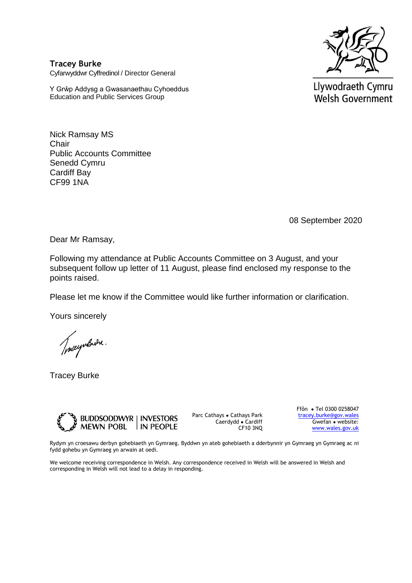

**Tracey Burke** Cyfarwyddwr Cyffredinol / Director General

Y Grŵp Addysg a Gwasanaethau Cyhoeddus Education and Public Services Group

Llywodraeth Cymru Welsh Government

Nick Ramsay MS **Chair** Public Accounts Committee Senedd Cymru Cardiff Bay CF99 1NA

08 September 2020

Dear Mr Ramsay,

Following my attendance at Public Accounts Committee on 3 August, and your subsequent follow up letter of 11 August, please find enclosed my response to the points raised.

Please let me know if the Committee would like further information or clarification.

Yours sincerely

Tracyntards.

Tracey Burke



Parc Cathays ● Cathays Park Caerdydd ● Cardiff CF10 3NQ Ffôn ● Tel 0300 0258047 [tracey.burke@gov.wales](mailto:tracey.burke@gov.wales) Gwefan ● website: [www.wales.gov.uk](http://www.wales.gov.uk/)

Rydym yn croesawu derbyn gohebiaeth yn Gymraeg. Byddwn yn ateb gohebiaeth a dderbynnir yn Gymraeg yn Gymraeg ac ni fydd gohebu yn Gymraeg yn arwain at oedi.

We welcome receiving correspondence in Welsh. Any correspondence received in Welsh will be answered in Welsh and corresponding in Welsh will not lead to a delay in responding.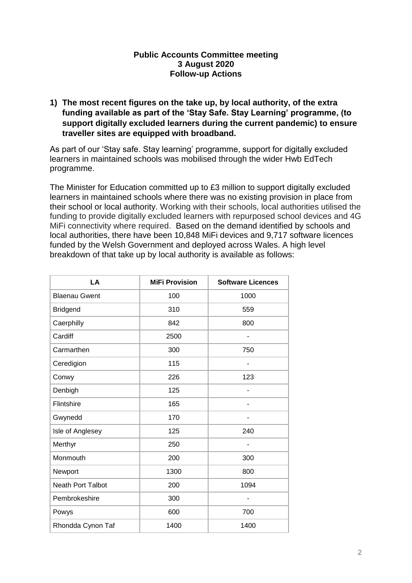#### **Public Accounts Committee meeting 3 August 2020 Follow-up Actions**

**1) The most recent figures on the take up, by local authority, of the extra funding available as part of the 'Stay Safe. Stay Learning' programme, (to support digitally excluded learners during the current pandemic) to ensure traveller sites are equipped with broadband.**

As part of our 'Stay safe. Stay learning' programme, support for digitally excluded learners in maintained schools was mobilised through the wider Hwb EdTech programme.

The Minister for Education committed up to £3 million to support digitally excluded learners in maintained schools where there was no existing provision in place from their school or local authority. Working with their schools, local authorities utilised the funding to provide digitally excluded learners with repurposed school devices and 4G MiFi connectivity where required. Based on the demand identified by schools and local authorities, there have been 10,848 MiFi devices and 9,717 software licences funded by the Welsh Government and deployed across Wales. A high level breakdown of that take up by local authority is available as follows:

| LA                       | <b>MiFi Provision</b> | <b>Software Licences</b> |
|--------------------------|-----------------------|--------------------------|
| <b>Blaenau Gwent</b>     | 100                   | 1000                     |
| <b>Bridgend</b>          | 310                   | 559                      |
| Caerphilly               | 842                   | 800                      |
| Cardiff                  | 2500                  |                          |
| Carmarthen               | 300                   | 750                      |
| Ceredigion               | 115                   |                          |
| Conwy                    | 226                   | 123                      |
| Denbigh                  | 125                   |                          |
| Flintshire               | 165                   |                          |
| Gwynedd                  | 170                   |                          |
| Isle of Anglesey         | 125                   | 240                      |
| Merthyr                  | 250                   |                          |
| Monmouth                 | 200                   | 300                      |
| Newport                  | 1300                  | 800                      |
| <b>Neath Port Talbot</b> | 200                   | 1094                     |
| Pembrokeshire            | 300                   |                          |
| Powys                    | 600                   | 700                      |
| Rhondda Cynon Taf        | 1400                  | 1400                     |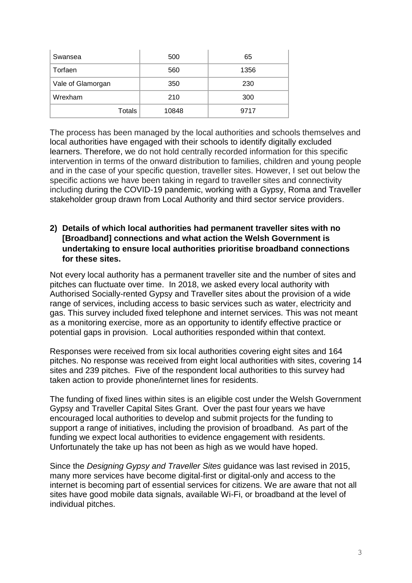| Swansea           | 500   | 65   |
|-------------------|-------|------|
| Torfaen           | 560   | 1356 |
| Vale of Glamorgan | 350   | 230  |
| Wrexham           | 210   | 300  |
| Totals            | 10848 | 9717 |

The process has been managed by the local authorities and schools themselves and local authorities have engaged with their schools to identify digitally excluded learners. Therefore, we do not hold centrally recorded information for this specific intervention in terms of the onward distribution to families, children and young people and in the case of your specific question, traveller sites. However, I set out below the specific actions we have been taking in regard to traveller sites and connectivity including during the COVID-19 pandemic, working with a Gypsy, Roma and Traveller stakeholder group drawn from Local Authority and third sector service providers.

### **2) Details of which local authorities had permanent traveller sites with no [Broadband] connections and what action the Welsh Government is undertaking to ensure local authorities prioritise broadband connections for these sites.**

Not every local authority has a permanent traveller site and the number of sites and pitches can fluctuate over time. In 2018, we asked every local authority with Authorised Socially-rented Gypsy and Traveller sites about the provision of a wide range of services, including access to basic services such as water, electricity and gas. This survey included fixed telephone and internet services. This was not meant as a monitoring exercise, more as an opportunity to identify effective practice or potential gaps in provision. Local authorities responded within that context.

Responses were received from six local authorities covering eight sites and 164 pitches. No response was received from eight local authorities with sites, covering 14 sites and 239 pitches. Five of the respondent local authorities to this survey had taken action to provide phone/internet lines for residents.

The funding of fixed lines within sites is an eligible cost under the Welsh Government Gypsy and Traveller Capital Sites Grant. Over the past four years we have encouraged local authorities to develop and submit projects for the funding to support a range of initiatives, including the provision of broadband. As part of the funding we expect local authorities to evidence engagement with residents. Unfortunately the take up has not been as high as we would have hoped.

Since the *Designing Gypsy and Traveller Sites* guidance was last revised in 2015, many more services have become digital-first or digital-only and access to the internet is becoming part of essential services for citizens. We are aware that not all sites have good mobile data signals, available Wi-Fi, or broadband at the level of individual pitches.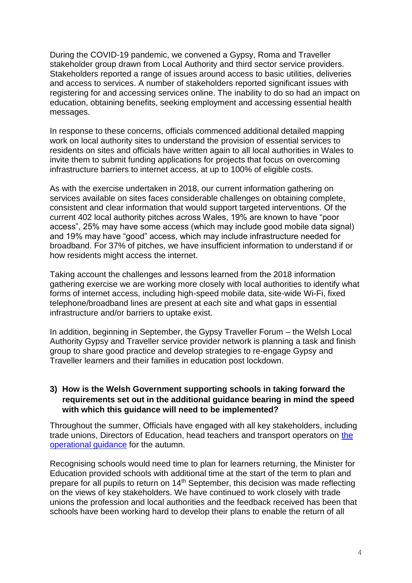During the COVID-19 pandemic, we convened a Gypsy, Roma and Traveller stakeholder group drawn from Local Authority and third sector service providers. Stakeholders reported a range of issues around access to basic utilities, deliveries and access to services. A number of stakeholders reported significant issues with registering for and accessing services online. The inability to do so had an impact on education, obtaining benefits, seeking employment and accessing essential health messages.

In response to these concerns, officials commenced additional detailed mapping work on local authority sites to understand the provision of essential services to residents on sites and officials have written again to all local authorities in Wales to invite them to submit funding applications for projects that focus on overcoming infrastructure barriers to internet access, at up to 100% of eligible costs.

As with the exercise undertaken in 2018, our current information gathering on services available on sites faces considerable challenges on obtaining complete, consistent and clear information that would support targeted interventions. Of the current 402 local authority pitches across Wales, 19% are known to have "poor access", 25% may have some access (which may include good mobile data signal) and 19% may have "good" access, which may include infrastructure needed for broadband. For 37% of pitches, we have insufficient information to understand if or how residents might access the internet.

Taking account the challenges and lessons learned from the 2018 information gathering exercise we are working more closely with local authorities to identify what forms of internet access, including high-speed mobile data, site-wide Wi-Fi, fixed telephone/broadband lines are present at each site and what gaps in essential infrastructure and/or barriers to uptake exist.

In addition, beginning in September, the Gypsy Traveller Forum – the Welsh Local Authority Gypsy and Traveller service provider network is planning a task and finish group to share good practice and develop strategies to re-engage Gypsy and Traveller learners and their families in education post lockdown.

# **3) How is the Welsh Government supporting schools in taking forward the requirements set out in the additional guidance bearing in mind the speed with which this guidance will need to be implemented?**

Throughout the summer, Officials have engaged with all key stakeholders, including trade unions, Directors of Education, head teachers and transport operators on [the](https://gov.wales/operational-guidance-schools-and-settings-autumn-term-covid-19) [operational guidance](https://gov.wales/operational-guidance-schools-and-settings-autumn-term-covid-19) for the autumn.

Recognising schools would need time to plan for learners returning, the Minister for Education provided schools with additional time at the start of the term to plan and prepare for all pupils to return on 14th September, this decision was made reflecting on the views of key stakeholders. We have continued to work closely with trade unions the profession and local authorities and the feedback received has been that schools have been working hard to develop their plans to enable the return of all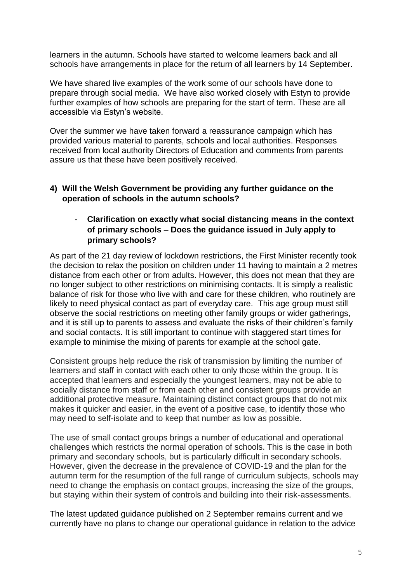learners in the autumn. Schools have started to welcome learners back and all schools have arrangements in place for the return of all learners by 14 September.

We have shared live examples of the work some of our schools have done to prepare through social media. We have also worked closely with Estyn to provide further examples of how schools are preparing for the start of term. These are all accessible via Estyn's website.

Over the summer we have taken forward a reassurance campaign which has provided various material to parents, schools and local authorities. Responses received from local authority Directors of Education and comments from parents assure us that these have been positively received.

## **4) Will the Welsh Government be providing any further guidance on the operation of schools in the autumn schools?**

# - **Clarification on exactly what social distancing means in the context of primary schools – Does the guidance issued in July apply to primary schools?**

As part of the 21 day review of lockdown restrictions, the First Minister recently took the decision to relax the position on children under 11 having to maintain a 2 metres distance from each other or from adults. However, this does not mean that they are no longer subject to other restrictions on minimising contacts. It is simply a realistic balance of risk for those who live with and care for these children, who routinely are likely to need physical contact as part of everyday care. This age group must still observe the social restrictions on meeting other family groups or wider gatherings, and it is still up to parents to assess and evaluate the risks of their children's family and social contacts. It is still important to continue with staggered start times for example to minimise the mixing of parents for example at the school gate.

Consistent groups help reduce the risk of transmission by limiting the number of learners and staff in contact with each other to only those within the group. It is accepted that learners and especially the youngest learners, may not be able to socially distance from staff or from each other and consistent groups provide an additional protective measure. Maintaining distinct contact groups that do not mix makes it quicker and easier, in the event of a positive case, to identify those who may need to self-isolate and to keep that number as low as possible.

The use of small contact groups brings a number of educational and operational challenges which restricts the normal operation of schools. This is the case in both primary and secondary schools, but is particularly difficult in secondary schools. However, given the decrease in the prevalence of COVID-19 and the plan for the autumn term for the resumption of the full range of curriculum subjects, schools may need to change the emphasis on contact groups, increasing the size of the groups, but staying within their system of controls and building into their risk-assessments.

The latest updated guidance published on 2 September remains current and we currently have no plans to change our operational guidance in relation to the advice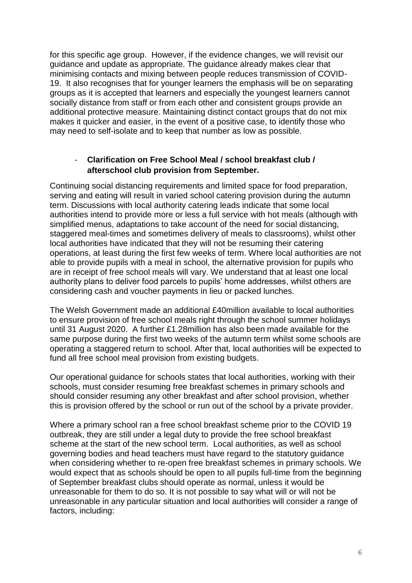for this specific age group. However, if the evidence changes, we will revisit our guidance and update as appropriate. The guidance already makes clear that minimising contacts and mixing between people reduces transmission of COVID-19. It also recognises that for younger learners the emphasis will be on separating groups as it is accepted that learners and especially the youngest learners cannot socially distance from staff or from each other and consistent groups provide an additional protective measure. Maintaining distinct contact groups that do not mix makes it quicker and easier, in the event of a positive case, to identify those who may need to self-isolate and to keep that number as low as possible.

## - **Clarification on Free School Meal / school breakfast club / afterschool club provision from September.**

Continuing social distancing requirements and limited space for food preparation, serving and eating will result in varied school catering provision during the autumn term. Discussions with local authority catering leads indicate that some local authorities intend to provide more or less a full service with hot meals (although with simplified menus, adaptations to take account of the need for social distancing, staggered meal-times and sometimes delivery of meals to classrooms), whilst other local authorities have indicated that they will not be resuming their catering operations, at least during the first few weeks of term. Where local authorities are not able to provide pupils with a meal in school, the alternative provision for pupils who are in receipt of free school meals will vary. We understand that at least one local authority plans to deliver food parcels to pupils' home addresses, whilst others are considering cash and voucher payments in lieu or packed lunches.

The Welsh Government made an additional £40million available to local authorities to ensure provision of free school meals right through the school summer holidays until 31 August 2020. A further £1.28million has also been made available for the same purpose during the first two weeks of the autumn term whilst some schools are operating a staggered return to school. After that, local authorities will be expected to fund all free school meal provision from existing budgets.

Our operational guidance for schools states that local authorities, working with their schools, must consider resuming free breakfast schemes in primary schools and should consider resuming any other breakfast and after school provision, whether this is provision offered by the school or run out of the school by a private provider.

Where a primary school ran a free school breakfast scheme prior to the COVID 19 outbreak, they are still under a legal duty to provide the free school breakfast scheme at the start of the new school term. Local authorities, as well as school governing bodies and head teachers must have regard to the statutory guidance when considering whether to re-open free breakfast schemes in primary schools. We would expect that as schools should be open to all pupils full-time from the beginning of September breakfast clubs should operate as normal, unless it would be unreasonable for them to do so. It is not possible to say what will or will not be unreasonable in any particular situation and local authorities will consider a range of factors, including: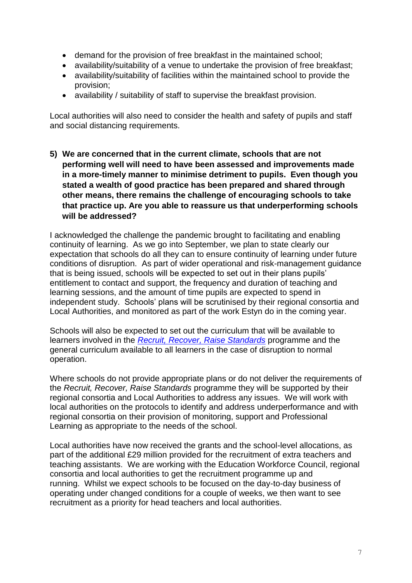- demand for the provision of free breakfast in the maintained school;
- availability/suitability of a venue to undertake the provision of free breakfast;
- availability/suitability of facilities within the maintained school to provide the provision;
- availability / suitability of staff to supervise the breakfast provision.

Local authorities will also need to consider the health and safety of pupils and staff and social distancing requirements.

**5) We are concerned that in the current climate, schools that are not performing well will need to have been assessed and improvements made in a more-timely manner to minimise detriment to pupils. Even though you stated a wealth of good practice has been prepared and shared through other means, there remains the challenge of encouraging schools to take that practice up. Are you able to reassure us that underperforming schools will be addressed?**

I acknowledged the challenge the pandemic brought to facilitating and enabling continuity of learning. As we go into September, we plan to state clearly our expectation that schools do all they can to ensure continuity of learning under future conditions of disruption. As part of wider operational and risk-management guidance that is being issued, schools will be expected to set out in their plans pupils' entitlement to contact and support, the frequency and duration of teaching and learning sessions, and the amount of time pupils are expected to spend in independent study. Schools' plans will be scrutinised by their regional consortia and Local Authorities, and monitored as part of the work Estyn do in the coming year.

Schools will also be expected to set out the curriculum that will be available to learners involved in the *[Recruit, Recover, Raise Standards](https://gov.wales/recruit-recover-raise-standards-accelerating-learning-programme)* programme and the general curriculum available to all learners in the case of disruption to normal operation.

Where schools do not provide appropriate plans or do not deliver the requirements of the *[Recruit, Recover, Raise Standards](https://eur01.safelinks.protection.outlook.com/?url=https%3A%2F%2Fgov.wales%2Frecruit-recover-raise-standards-accelerating-learning-programme&data=02%7C01%7CKara.Richards%40gov.wales%7Ce8f2a3ca91c240eb7a9108d850afeb6a%7Ca2cc36c592804ae78887d06dab89216b%7C0%7C0%7C637348064080865308&sdata=Ka2avV6BuefYDmZtP%2FlBXhlx3ENxpevdKB%2FgJn5lhBc%3D&reserved=0)* programme they will be supported by their regional consortia and Local Authorities to address any issues. We will work with local authorities on the protocols to identify and address underperformance and with regional consortia on their provision of monitoring, support and Professional Learning as appropriate to the needs of the school.

Local authorities have now received the grants and the school-level allocations, as part of the additional £29 million provided for the recruitment of extra teachers and teaching assistants. We are working with the Education Workforce Council, regional consortia and local authorities to get the recruitment programme up and running. Whilst we expect schools to be focused on the day-to-day business of operating under changed conditions for a couple of weeks, we then want to see recruitment as a priority for head teachers and local authorities.